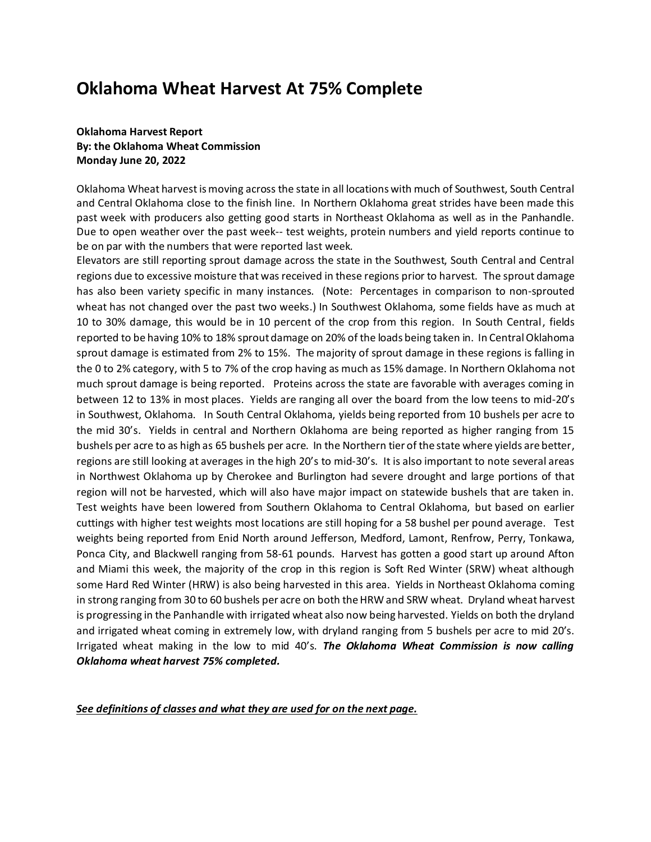# **Oklahoma Wheat Harvest At 75% Complete**

# **Oklahoma Harvest Report By: the Oklahoma Wheat Commission Monday June 20, 2022**

Oklahoma Wheat harvest is moving across the state in all locations with much of Southwest, South Central and Central Oklahoma close to the finish line. In Northern Oklahoma great strides have been made this past week with producers also getting good starts in Northeast Oklahoma as well as in the Panhandle. Due to open weather over the past week-- test weights, protein numbers and yield reports continue to be on par with the numbers that were reported last week.

Elevators are still reporting sprout damage across the state in the Southwest, South Central and Central regions due to excessive moisture that was received in these regions prior to harvest. The sprout damage has also been variety specific in many instances. (Note: Percentages in comparison to non-sprouted wheat has not changed over the past two weeks.) In Southwest Oklahoma, some fields have as much at 10 to 30% damage, this would be in 10 percent of the crop from this region. In South Central, fields reported to be having 10% to 18% sproutdamage on 20% of the loads being taken in. In Central Oklahoma sprout damage is estimated from 2% to 15%. The majority of sprout damage in these regions is falling in the 0 to 2% category, with 5 to 7% of the crop having as much as 15% damage. In Northern Oklahoma not much sprout damage is being reported. Proteins across the state are favorable with averages coming in between 12 to 13% in most places. Yields are ranging all over the board from the low teens to mid-20's in Southwest, Oklahoma. In South Central Oklahoma, yields being reported from 10 bushels per acre to the mid 30's. Yields in central and Northern Oklahoma are being reported as higher ranging from 15 bushels per acre to as high as 65 bushels per acre. In the Northern tier of the state where yields are better, regions are still looking at averages in the high 20's to mid-30's. It is also important to note several areas in Northwest Oklahoma up by Cherokee and Burlington had severe drought and large portions of that region will not be harvested, which will also have major impact on statewide bushels that are taken in. Test weights have been lowered from Southern Oklahoma to Central Oklahoma, but based on earlier cuttings with higher test weights most locations are still hoping for a 58 bushel per pound average. Test weights being reported from Enid North around Jefferson, Medford, Lamont, Renfrow, Perry, Tonkawa, Ponca City, and Blackwell ranging from 58-61 pounds. Harvest has gotten a good start up around Afton and Miami this week, the majority of the crop in this region is Soft Red Winter (SRW) wheat although some Hard Red Winter (HRW) is also being harvested in this area. Yields in Northeast Oklahoma coming in strong ranging from 30 to 60 bushels per acre on both the HRW and SRW wheat. Dryland wheat harvest is progressing in the Panhandle with irrigated wheat also now being harvested. Yields on both the dryland and irrigated wheat coming in extremely low, with dryland ranging from 5 bushels per acre to mid 20's. Irrigated wheat making in the low to mid 40's. *The Oklahoma Wheat Commission is now calling Oklahoma wheat harvest 75% completed.*

*See definitions of classes and what they are used for on the next page.*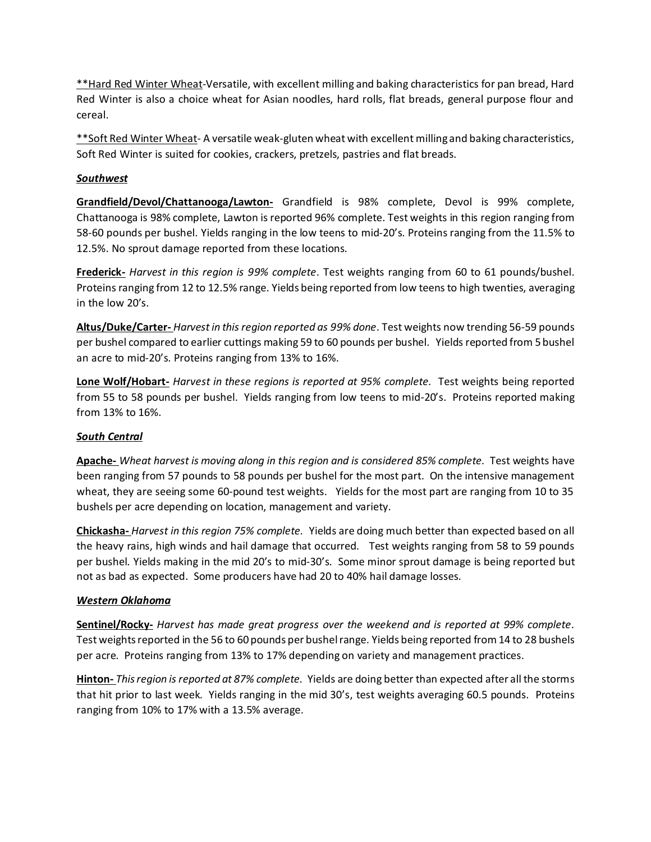\*\*Hard Red Winter Wheat-Versatile, with excellent milling and baking characteristics for pan bread, Hard Red Winter is also a choice wheat for Asian noodles, hard rolls, flat breads, general purpose flour and cereal.

\*\* Soft Red Winter Wheat- A versatile weak-gluten wheat with excellent milling and baking characteristics, Soft Red Winter is suited for cookies, crackers, pretzels, pastries and flat breads.

# *Southwest*

**Grandfield/Devol/Chattanooga/Lawton-** Grandfield is 98% complete, Devol is 99% complete, Chattanooga is 98% complete, Lawton is reported 96% complete. Test weights in this region ranging from 58-60 pounds per bushel. Yields ranging in the low teens to mid-20's. Proteins ranging from the 11.5% to 12.5%. No sprout damage reported from these locations.

**Frederick-** *Harvest in this region is 99% complete*. Test weights ranging from 60 to 61 pounds/bushel. Proteins ranging from 12 to 12.5% range. Yields being reported from low teens to high twenties, averaging in the low 20's.

**Altus/Duke/Carter-** *Harvest in this region reported as 99% done*. Test weights now trending 56-59 pounds per bushel compared to earlier cuttings making 59 to 60 pounds per bushel. Yields reported from 5 bushel an acre to mid-20's. Proteins ranging from 13% to 16%.

**Lone Wolf/Hobart-** *Harvest in these regions is reported at 95% complete.* Test weights being reported from 55 to 58 pounds per bushel. Yields ranging from low teens to mid-20's. Proteins reported making from 13% to 16%.

# *South Central*

**Apache-** *Wheat harvest is moving along in this region and is considered 85% complete.* Test weights have been ranging from 57 pounds to 58 pounds per bushel for the most part. On the intensive management wheat, they are seeing some 60-pound test weights. Yields for the most part are ranging from 10 to 35 bushels per acre depending on location, management and variety.

**Chickasha-** *Harvest in this region 75% complete.* Yields are doing much better than expected based on all the heavy rains, high winds and hail damage that occurred. Test weights ranging from 58 to 59 pounds per bushel. Yields making in the mid 20's to mid-30's. Some minor sprout damage is being reported but not as bad as expected. Some producers have had 20 to 40% hail damage losses.

#### *Western Oklahoma*

**Sentinel/Rocky-** *Harvest has made great progress over the weekend and is reported at 99% complete*. Test weights reported in the 56 to 60 pounds per bushel range. Yields being reported from 14 to 28 bushels per acre. Proteins ranging from 13% to 17% depending on variety and management practices.

**Hinton-** *This region is reported at 87% complete.* Yields are doing better than expected after all the storms that hit prior to last week. Yields ranging in the mid 30's, test weights averaging 60.5 pounds. Proteins ranging from 10% to 17% with a 13.5% average.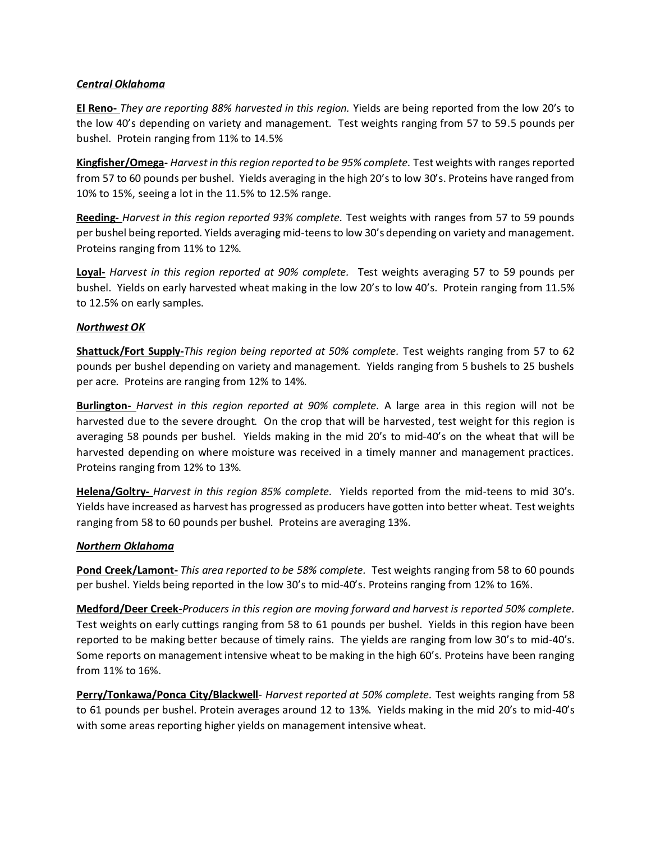#### *Central Oklahoma*

**El Reno-** *They are reporting 88% harvested in this region.* Yields are being reported from the low 20's to the low 40's depending on variety and management. Test weights ranging from 57 to 59.5 pounds per bushel. Protein ranging from 11% to 14.5%

**Kingfisher/Omega-** *Harvest in this region reported to be 95% complete.* Test weights with ranges reported from 57 to 60 pounds per bushel. Yields averaging in the high 20's to low 30's. Proteins have ranged from 10% to 15%, seeing a lot in the 11.5% to 12.5% range.

**Reeding-** *Harvest in this region reported 93% complete.* Test weights with ranges from 57 to 59 pounds per bushel being reported. Yields averaging mid-teens to low 30's depending on variety and management. Proteins ranging from 11% to 12%.

**Loyal-** *Harvest in this region reported at 90% complete.* Test weights averaging 57 to 59 pounds per bushel. Yields on early harvested wheat making in the low 20's to low 40's. Protein ranging from 11.5% to 12.5% on early samples.

# *Northwest OK*

**Shattuck/Fort Supply-***This region being reported at 50% complete.* Test weights ranging from 57 to 62 pounds per bushel depending on variety and management. Yields ranging from 5 bushels to 25 bushels per acre. Proteins are ranging from 12% to 14%.

**Burlington-** *Harvest in this region reported at 90% complete.* A large area in this region will not be harvested due to the severe drought. On the crop that will be harvested, test weight for this region is averaging 58 pounds per bushel. Yields making in the mid 20's to mid-40's on the wheat that will be harvested depending on where moisture was received in a timely manner and management practices. Proteins ranging from 12% to 13%.

**Helena/Goltry-** *Harvest in this region 85% complete.* Yields reported from the mid-teens to mid 30's. Yields have increased as harvest has progressed as producers have gotten into better wheat. Test weights ranging from 58 to 60 pounds per bushel. Proteins are averaging 13%.

#### *Northern Oklahoma*

**Pond Creek/Lamont-** *This area reported to be 58% complete.* Test weights ranging from 58 to 60 pounds per bushel. Yields being reported in the low 30's to mid-40's. Proteins ranging from 12% to 16%.

**Medford/Deer Creek-***Producers in this region are moving forward and harvest is reported 50% complete.* Test weights on early cuttings ranging from 58 to 61 pounds per bushel. Yields in this region have been reported to be making better because of timely rains. The yields are ranging from low 30's to mid-40's. Some reports on management intensive wheat to be making in the high 60's. Proteins have been ranging from 11% to 16%.

**Perry/Tonkawa/Ponca City/Blackwell**- *Harvest reported at 50% complete.* Test weights ranging from 58 to 61 pounds per bushel. Protein averages around 12 to 13%. Yields making in the mid 20's to mid-40's with some areas reporting higher yields on management intensive wheat.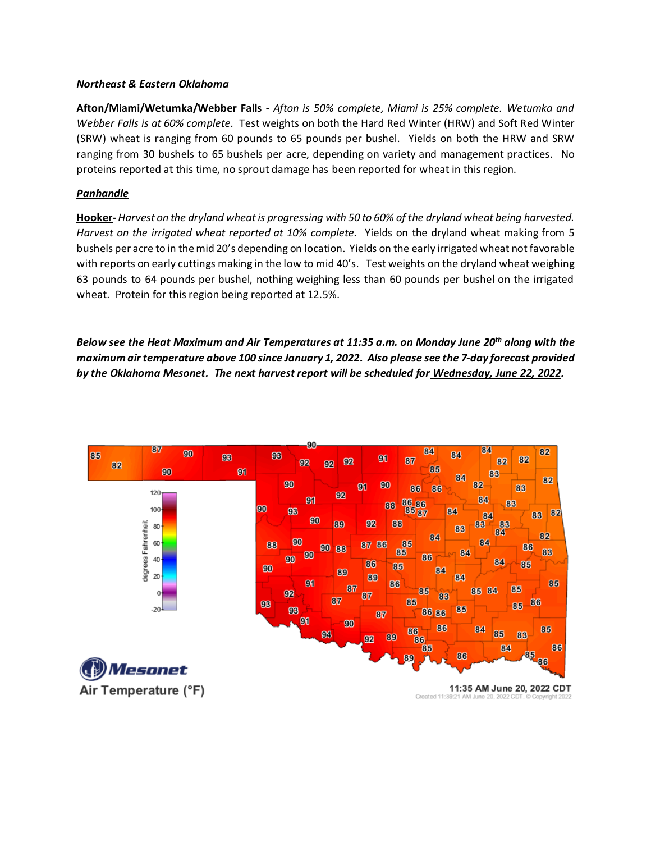#### *Northeast & Eastern Oklahoma*

**Afton/Miami/Wetumka/Webber Falls -** *Afton is 50% complete, Miami is 25% complete. Wetumka and Webber Falls is at 60% complete.* Test weights on both the Hard Red Winter (HRW) and Soft Red Winter (SRW) wheat is ranging from 60 pounds to 65 pounds per bushel. Yields on both the HRW and SRW ranging from 30 bushels to 65 bushels per acre, depending on variety and management practices. No proteins reported at this time, no sprout damage has been reported for wheat in this region.

#### *Panhandle*

**Hooker-***Harvest on the dryland wheat is progressing with 50 to 60% of the dryland wheat being harvested. Harvest on the irrigated wheat reported at 10% complete.* Yields on the dryland wheat making from 5 bushels per acre to in the mid 20's depending on location. Yields on the early irrigated wheat not favorable with reports on early cuttings making in the low to mid 40's. Test weights on the dryland wheat weighing 63 pounds to 64 pounds per bushel, nothing weighing less than 60 pounds per bushel on the irrigated wheat. Protein for this region being reported at 12.5%.

*Below see the Heat Maximum and Air Temperatures at 11:35 a.m. on Monday June 20th along with the maximum air temperature above 100 since January 1, 2022. Also please see the 7-day forecast provided by the Oklahoma Mesonet. The next harvest report will be scheduled for Wednesday, June 22, 2022.*